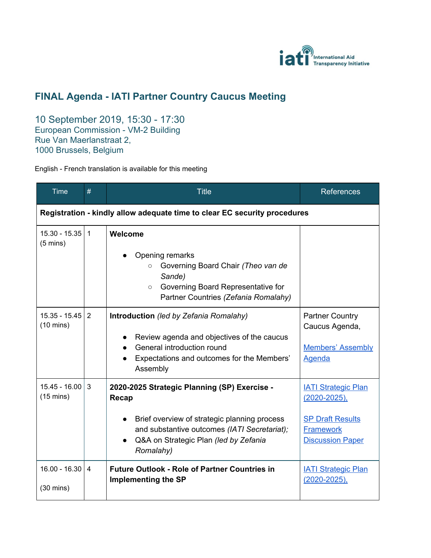

## **FINAL Agenda - IATI Partner Country Caucus Meeting**

10 September 2019, 15:30 - 17:30 European Commission - VM-2 Building Rue Van Maerlanstraat 2, 1000 Brussels, Belgium

English - French translation is available for this meeting

| <b>Time</b>                                                               | #                       | <b>Title</b>                                                                                                                                                                                                | <b>References</b>                                                                                                         |  |  |
|---------------------------------------------------------------------------|-------------------------|-------------------------------------------------------------------------------------------------------------------------------------------------------------------------------------------------------------|---------------------------------------------------------------------------------------------------------------------------|--|--|
| Registration - kindly allow adequate time to clear EC security procedures |                         |                                                                                                                                                                                                             |                                                                                                                           |  |  |
| 15.30 - 15.35<br>$(5 \text{ mins})$                                       | $\overline{1}$          | Welcome<br>Opening remarks<br>Governing Board Chair (Theo van de<br>$\circ$<br>Sande)<br>Governing Board Representative for<br>$\circ$<br>Partner Countries (Zefania Romalahy)                              |                                                                                                                           |  |  |
| $15.35 - 15.45$<br>$(10 \text{ mins})$                                    | 2                       | Introduction (led by Zefania Romalahy)<br>Review agenda and objectives of the caucus<br>General introduction round<br>Expectations and outcomes for the Members'<br>Assembly                                | <b>Partner Country</b><br>Caucus Agenda,<br><b>Members' Assembly</b><br><b>Agenda</b>                                     |  |  |
| $15.45 - 16.00$<br>$(15 \text{ mins})$                                    | 3                       | 2020-2025 Strategic Planning (SP) Exercise -<br>Recap<br>Brief overview of strategic planning process<br>and substantive outcomes (IATI Secretariat);<br>Q&A on Strategic Plan (led by Zefania<br>Romalahy) | <b>IATI Strategic Plan</b><br>$(2020 - 2025)$ ,<br><b>SP Draft Results</b><br><b>Framework</b><br><b>Discussion Paper</b> |  |  |
| $16.00 - 16.30$<br>$(30 \text{ mins})$                                    | $\overline{\mathbf{4}}$ | <b>Future Outlook - Role of Partner Countries in</b><br><b>Implementing the SP</b>                                                                                                                          | <b>IATI Strategic Plan</b><br>$(2020 - 2025)$ ,                                                                           |  |  |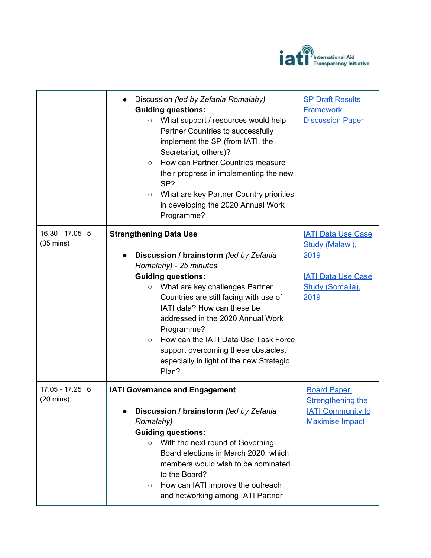

|                                        |   | Discussion (led by Zefania Romalahy)<br><b>Guiding questions:</b><br>What support / resources would help<br>$\circ$<br>Partner Countries to successfully<br>implement the SP (from IATI, the<br>Secretariat, others)?<br>How can Partner Countries measure<br>$\circ$<br>their progress in implementing the new<br>SP?<br>What are key Partner Country priorities<br>$\circlearrowright$<br>in developing the 2020 Annual Work<br>Programme?             | <b>SP Draft Results</b><br><b>Framework</b><br><b>Discussion Paper</b>                                        |
|----------------------------------------|---|----------------------------------------------------------------------------------------------------------------------------------------------------------------------------------------------------------------------------------------------------------------------------------------------------------------------------------------------------------------------------------------------------------------------------------------------------------|---------------------------------------------------------------------------------------------------------------|
| $16.30 - 17.05$<br>$(35 \text{ mins})$ | 5 | <b>Strengthening Data Use</b><br>Discussion / brainstorm (led by Zefania<br>Romalahy) - 25 minutes<br><b>Guiding questions:</b><br>What are key challenges Partner<br>$\circ$<br>Countries are still facing with use of<br>IATI data? How can these be<br>addressed in the 2020 Annual Work<br>Programme?<br>How can the IATI Data Use Task Force<br>$\circ$<br>support overcoming these obstacles,<br>especially in light of the new Strategic<br>Plan? | <b>IATI Data Use Case</b><br>Study (Malawi),<br>2019<br><b>IATI Data Use Case</b><br>Study (Somalia).<br>2019 |
| $17.05 - 17.25$<br>$(20 \text{ mins})$ | 6 | <b>IATI Governance and Engagement</b><br>Discussion / brainstorm (led by Zefania<br>Romalahy)<br><b>Guiding questions:</b><br>With the next round of Governing<br>$\circ$<br>Board elections in March 2020, which<br>members would wish to be nominated<br>to the Board?<br>How can IATI improve the outreach<br>$\circ$<br>and networking among IATI Partner                                                                                            | <b>Board Paper:</b><br><b>Strengthening the</b><br><b>IATI Community to</b><br><b>Maximise Impact</b>         |